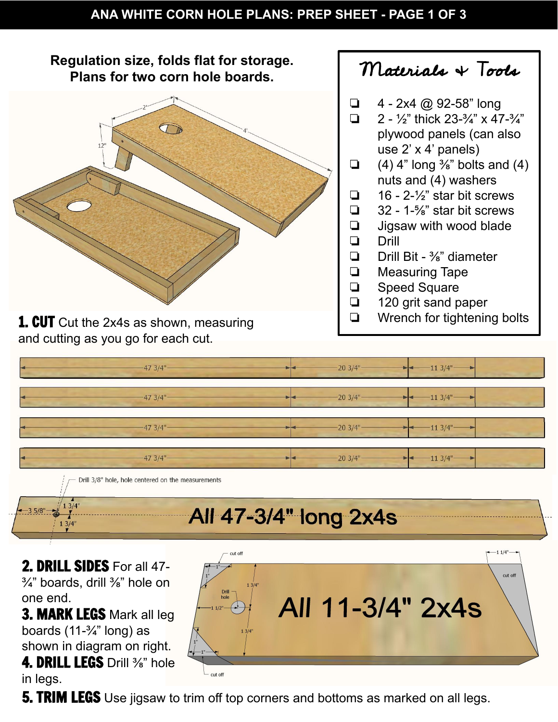

- $\Box$  4 2x4 @ 92-58" long
- $\Box$  2 1/2" thick 23-3/4" x 47-3/4" plywood panels (can also use 2' x 4' panels)
- $\Box$  (4) 4" long  $\frac{3}{8}$ " bolts and (4)
	- nuts and (4) washers
- $\Box$  16 2- $\frac{1}{2}$  star bit screws
- ❏ 32 1-⅝" star bit screws
- ❏ Jigsaw with wood blade
- ❏ Drill Bit ⅜" diameter
- ❏ Measuring Tape
- ❏ Speed Square
- ❏ 120 grit sand paper
- ❏ Wrench for tightening bolts

 $473/4$ "  $203/4$ "  $113/4$ "  $203/4"$  $113/4"$ 47 3/4"  $20.3/4"$  $113/4"$ 47 3/4" 47 3/4"  $203/4"$  $113/4$ " Drill 3/8" hole, hole centered on the measurements  $13/4"$ 

## All 47-3/4" long 2x4s

2. DRILL SIDES For all 47- $\frac{3}{4}$ " boards, drill  $\frac{3}{8}$ " hole on one end.

**3. MARK LEGS Mark all leg** boards  $(11-<sup>3</sup>/<sub>4</sub>"$  long) as shown in diagram on right. 4. DRILL LEGS Drill <sup>3</sup>/<sub>8</sub>" hole in legs.



**5. TRIM LEGS** Use jigsaw to trim off top corners and bottoms as marked on all legs.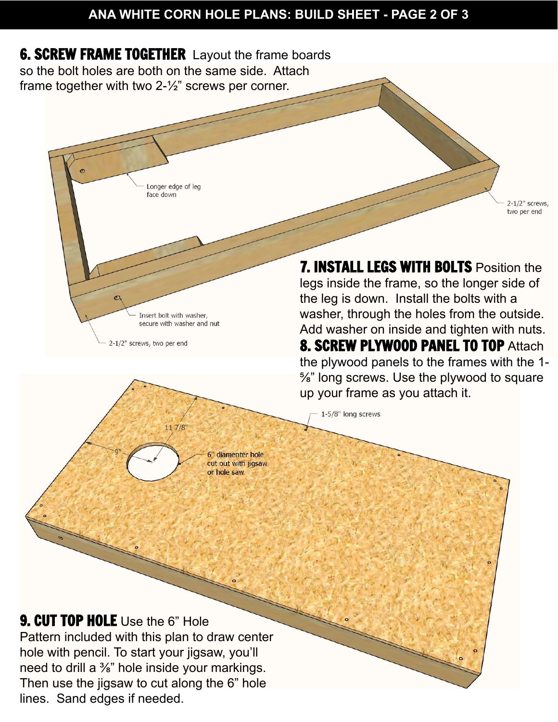## **ANA WHITE CORN HOLE PLANS: BUILD SHEET - PAGE 2 OF 3**



Insert bolt with washer, secure with washer and nut

11 7/8

2-1/2" screws, two per end

the leg is down. Install the bolts with a washer, through the holes from the outside. Add washer on inside and tighten with nuts. **8. SCREW PLYWOOD PANEL TO TOP Attach** the plywood panels to the frames with the 1- ⅝" long screws. Use the plywood to square up your frame as you attach it.

1-5/8" long screws

' diamenter hole cut out with jigsaw or hole saw

**9. CUT TOP HOLE** Use the 6" Hole

Pattern included with this plan to draw center hole with pencil. To start your jigsaw, you'll need to drill a ⅜" hole inside your markings. Then use the jigsaw to cut along the 6" hole lines. Sand edges if needed.